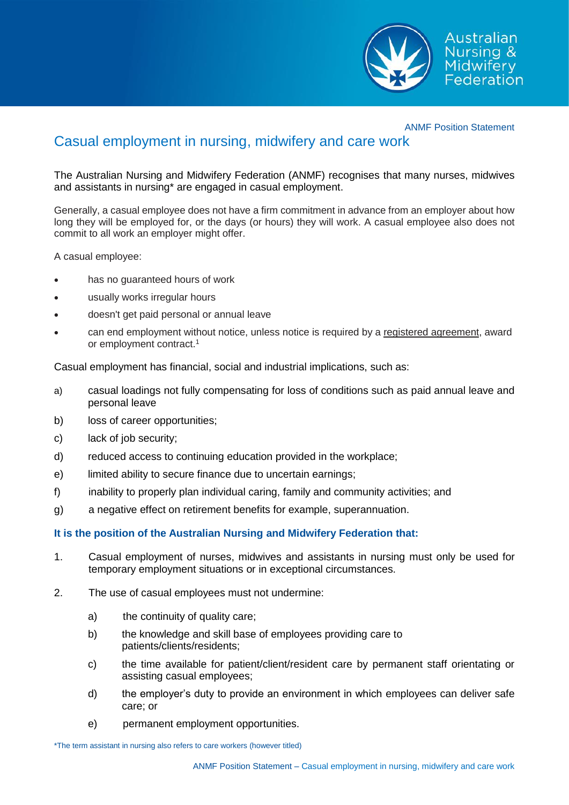

ANMF Position Statement

## Casual employment in nursing, midwifery and care work

The Australian Nursing and Midwifery Federation (ANMF) recognises that many nurses, midwives and assistants in nursing\* are engaged in casual employment.

Generally, a casual employee does not have a firm commitment in advance from an employer about how long they will be employed for, or the days (or hours) they will work. A casual employee also does not commit to all work an employer might offer.

A casual employee:

- has no guaranteed hours of work
- usually works irregular hours
- doesn't get paid personal or annual leave
- can end employment without notice, unless notice is required by a [registered agreement,](https://www.fairwork.gov.au/Dictionary.aspx?TermID=2034) award or employment contract.<sup>1</sup>

Casual employment has financial, social and industrial implications, such as:

- a) casual loadings not fully compensating for loss of conditions such as paid annual leave and personal leave
- b) loss of career opportunities;
- c) lack of job security;
- d) reduced access to continuing education provided in the workplace;
- e) limited ability to secure finance due to uncertain earnings;
- f) inability to properly plan individual caring, family and community activities; and
- g) a negative effect on retirement benefits for example, superannuation.

## **It is the position of the Australian Nursing and Midwifery Federation that:**

- 1. Casual employment of nurses, midwives and assistants in nursing must only be used for temporary employment situations or in exceptional circumstances.
- 2. The use of casual employees must not undermine:
	- a) the continuity of quality care;
	- b) the knowledge and skill base of employees providing care to patients/clients/residents;
	- c) the time available for patient/client/resident care by permanent staff orientating or assisting casual employees;
	- d) the employer's duty to provide an environment in which employees can deliver safe care; or
	- e) permanent employment opportunities.

\*The term assistant in nursing also refers to care workers (however titled)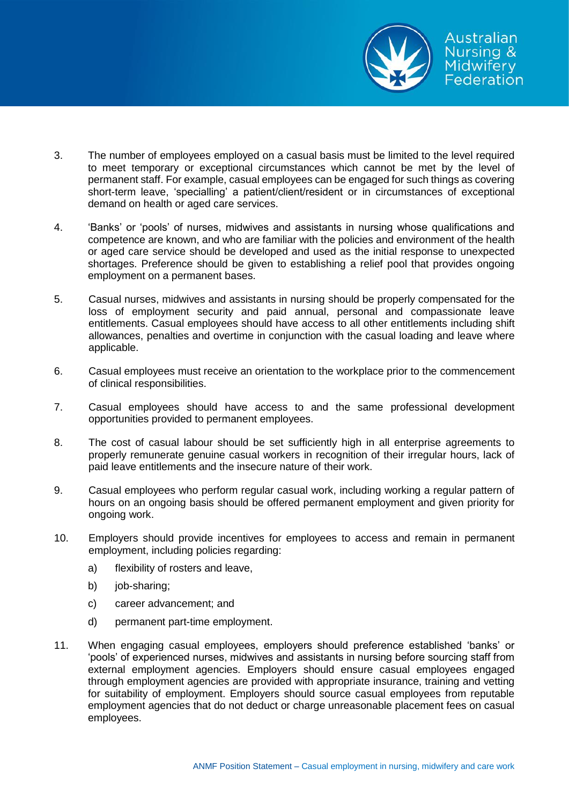

- 3. The number of employees employed on a casual basis must be limited to the level required to meet temporary or exceptional circumstances which cannot be met by the level of permanent staff. For example, casual employees can be engaged for such things as covering short-term leave, 'specialling' a patient/client/resident or in circumstances of exceptional demand on health or aged care services.
- 4. 'Banks' or 'pools' of nurses, midwives and assistants in nursing whose qualifications and competence are known, and who are familiar with the policies and environment of the health or aged care service should be developed and used as the initial response to unexpected shortages. Preference should be given to establishing a relief pool that provides ongoing employment on a permanent bases.
- 5. Casual nurses, midwives and assistants in nursing should be properly compensated for the loss of employment security and paid annual, personal and compassionate leave entitlements. Casual employees should have access to all other entitlements including shift allowances, penalties and overtime in conjunction with the casual loading and leave where applicable.
- 6. Casual employees must receive an orientation to the workplace prior to the commencement of clinical responsibilities.
- 7. Casual employees should have access to and the same professional development opportunities provided to permanent employees.
- 8. The cost of casual labour should be set sufficiently high in all enterprise agreements to properly remunerate genuine casual workers in recognition of their irregular hours, lack of paid leave entitlements and the insecure nature of their work.
- 9. Casual employees who perform regular casual work, including working a regular pattern of hours on an ongoing basis should be offered permanent employment and given priority for ongoing work.
- 10. Employers should provide incentives for employees to access and remain in permanent employment, including policies regarding:
	- a) flexibility of rosters and leave,
	- b) job-sharing;
	- c) career advancement; and
	- d) permanent part-time employment.
- 11. When engaging casual employees, employers should preference established 'banks' or 'pools' of experienced nurses, midwives and assistants in nursing before sourcing staff from external employment agencies. Employers should ensure casual employees engaged through employment agencies are provided with appropriate insurance, training and vetting for suitability of employment. Employers should source casual employees from reputable employment agencies that do not deduct or charge unreasonable placement fees on casual employees.